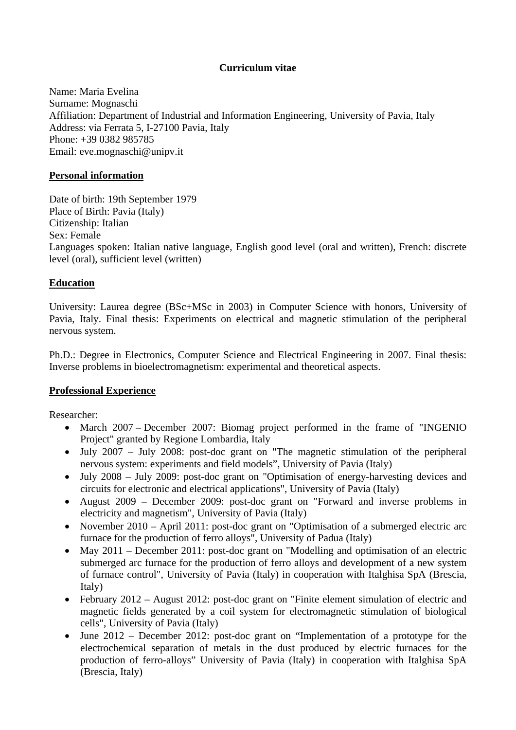# **Curriculum vitae**

Name: Maria Evelina Surname: Mognaschi Affiliation: Department of Industrial and Information Engineering, University of Pavia, Italy Address: via Ferrata 5, I-27100 Pavia, Italy Phone: +39 0382 985785 Email: eve.mognaschi@unipv.it

### **Personal information**

Date of birth: 19th September 1979 Place of Birth: Pavia (Italy) Citizenship: Italian Sex: Female Languages spoken: Italian native language, English good level (oral and written), French: discrete level (oral), sufficient level (written)

## **Education**

University: Laurea degree (BSc+MSc in 2003) in Computer Science with honors, University of Pavia, Italy. Final thesis: Experiments on electrical and magnetic stimulation of the peripheral nervous system.

Ph.D.: Degree in Electronics, Computer Science and Electrical Engineering in 2007. Final thesis: Inverse problems in bioelectromagnetism: experimental and theoretical aspects.

## **Professional Experience**

Researcher:

- March 2007 December 2007: Biomag project performed in the frame of "INGENIO" Project" granted by Regione Lombardia, Italy
- July 2007 July 2008: post-doc grant on "The magnetic stimulation of the peripheral nervous system: experiments and field models", University of Pavia (Italy)
- July 2008 July 2009: post-doc grant on "Optimisation of energy-harvesting devices and circuits for electronic and electrical applications", University of Pavia (Italy)
- August 2009 December 2009: post-doc grant on "Forward and inverse problems in electricity and magnetism", University of Pavia (Italy)
- November 2010 April 2011: post-doc grant on "Optimisation of a submerged electric arc furnace for the production of ferro alloys", University of Padua (Italy)
- May 2011 December 2011: post-doc grant on "Modelling and optimisation of an electric submerged arc furnace for the production of ferro alloys and development of a new system of furnace control", University of Pavia (Italy) in cooperation with Italghisa SpA (Brescia, Italy)
- February 2012 August 2012: post-doc grant on "Finite element simulation of electric and magnetic fields generated by a coil system for electromagnetic stimulation of biological cells", University of Pavia (Italy)
- June 2012 December 2012: post-doc grant on "Implementation of a prototype for the electrochemical separation of metals in the dust produced by electric furnaces for the production of ferro-alloys" University of Pavia (Italy) in cooperation with Italghisa SpA (Brescia, Italy)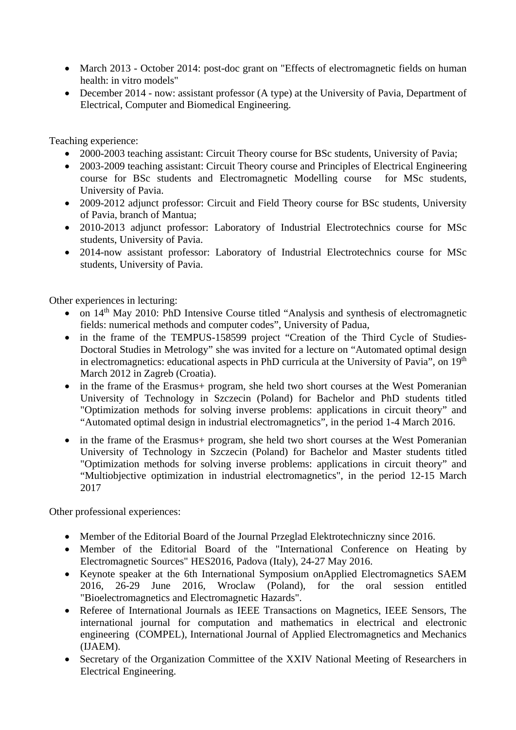- March 2013 October 2014: post-doc grant on "Effects of electromagnetic fields on human health: in vitro models"
- December 2014 now: assistant professor (A type) at the University of Pavia, Department of Electrical, Computer and Biomedical Engineering.

Teaching experience:

- 2000-2003 teaching assistant: Circuit Theory course for BSc students, University of Pavia;
- 2003-2009 teaching assistant: Circuit Theory course and Principles of Electrical Engineering course for BSc students and Electromagnetic Modelling course for MSc students, University of Pavia.
- 2009-2012 adjunct professor: Circuit and Field Theory course for BSc students, University of Pavia, branch of Mantua;
- 2010-2013 adjunct professor: Laboratory of Industrial Electrotechnics course for MSc students, University of Pavia.
- 2014-now assistant professor: Laboratory of Industrial Electrotechnics course for MSc students, University of Pavia.

Other experiences in lecturing:

- on  $14<sup>th</sup>$  May 2010: PhD Intensive Course titled "Analysis and synthesis of electromagnetic fields: numerical methods and computer codes", University of Padua,
- in the frame of the TEMPUS-158599 project "Creation of the Third Cycle of Studies-Doctoral Studies in Metrology" she was invited for a lecture on "Automated optimal design in electromagnetics: educational aspects in PhD curricula at the University of Pavia", on 19<sup>th</sup> March 2012 in Zagreb (Croatia).
- in the frame of the Erasmus+ program, she held two short courses at the West Pomeranian University of Technology in Szczecin (Poland) for Bachelor and PhD students titled "Optimization methods for solving inverse problems: applications in circuit theory" and "Automated optimal design in industrial electromagnetics", in the period 1-4 March 2016.
- in the frame of the Erasmus+ program, she held two short courses at the West Pomeranian University of Technology in Szczecin (Poland) for Bachelor and Master students titled "Optimization methods for solving inverse problems: applications in circuit theory" and "Multiobjective optimization in industrial electromagnetics", in the period 12-15 March 2017

Other professional experiences:

- Member of the Editorial Board of the Journal Przeglad Elektrotechniczny since 2016.
- Member of the Editorial Board of the "International Conference on Heating by Electromagnetic Sources" HES2016, Padova (Italy), 24-27 May 2016.
- Keynote speaker at the 6th International Symposium onApplied Electromagnetics SAEM 2016, 26-29 June 2016, Wroclaw (Poland), for the oral session entitled "Bioelectromagnetics and Electromagnetic Hazards".
- Referee of International Journals as IEEE Transactions on Magnetics, IEEE Sensors, The international journal for computation and mathematics in electrical and electronic engineering (COMPEL), International Journal of Applied Electromagnetics and Mechanics (IJAEM).
- Secretary of the Organization Committee of the XXIV National Meeting of Researchers in Electrical Engineering.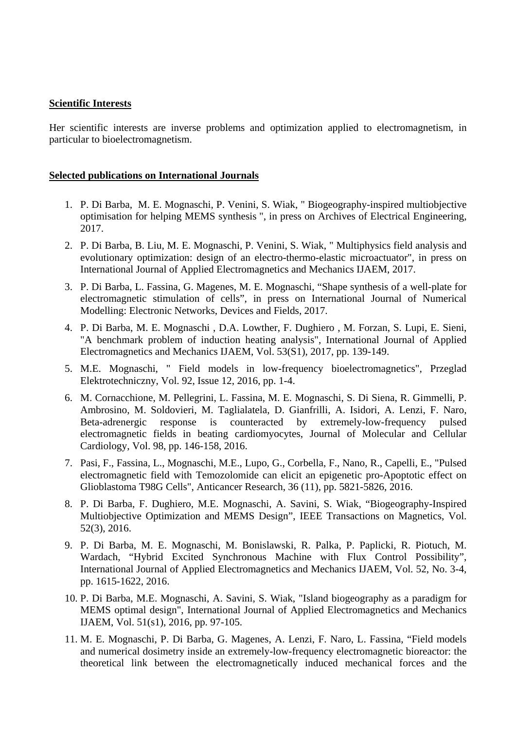#### **Scientific Interests**

Her scientific interests are inverse problems and optimization applied to electromagnetism, in particular to bioelectromagnetism.

#### **Selected publications on International Journals**

- 1. P. Di Barba, M. E. Mognaschi, P. Venini, S. Wiak, " Biogeography-inspired multiobjective optimisation for helping MEMS synthesis ", in press on Archives of Electrical Engineering, 2017.
- 2. P. Di Barba, B. Liu, M. E. Mognaschi, P. Venini, S. Wiak, " Multiphysics field analysis and evolutionary optimization: design of an electro-thermo-elastic microactuator", in press on International Journal of Applied Electromagnetics and Mechanics IJAEM, 2017.
- 3. P. Di Barba, L. Fassina, G. Magenes, M. E. Mognaschi, "Shape synthesis of a well-plate for electromagnetic stimulation of cells", in press on International Journal of Numerical Modelling: Electronic Networks, Devices and Fields, 2017.
- 4. P. Di Barba, M. E. Mognaschi , D.A. Lowther, F. Dughiero , M. Forzan, S. Lupi, E. Sieni, "A benchmark problem of induction heating analysis", International Journal of Applied Electromagnetics and Mechanics IJAEM, Vol. 53(S1), 2017, pp. 139-149.
- 5. M.E. Mognaschi, " Field models in low-frequency bioelectromagnetics", Przeglad Elektrotechniczny, Vol. 92, Issue 12, 2016, pp. 1-4.
- 6. M. Cornacchione, M. Pellegrini, L. Fassina, M. E. Mognaschi, S. Di Siena, R. Gimmelli, P. Ambrosino, M. Soldovieri, M. Taglialatela, D. Gianfrilli, A. Isidori, A. Lenzi, F. Naro, Beta-adrenergic response is counteracted by extremely-low-frequency pulsed electromagnetic fields in beating cardiomyocytes, Journal of Molecular and Cellular Cardiology, Vol. 98, pp. 146-158, 2016.
- 7. Pasi, F., Fassina, L., Mognaschi, M.E., Lupo, G., Corbella, F., Nano, R., Capelli, E., "Pulsed electromagnetic field with Temozolomide can elicit an epigenetic pro-Apoptotic effect on Glioblastoma T98G Cells", Anticancer Research, 36 (11), pp. 5821-5826, 2016.
- 8. P. Di Barba, F. Dughiero, M.E. Mognaschi, A. Savini, S. Wiak, "Biogeography-Inspired Multiobjective Optimization and MEMS Design", IEEE Transactions on Magnetics, Vol. 52(3), 2016.
- 9. P. Di Barba, M. E. Mognaschi, M. Bonislawski, R. Palka, P. Paplicki, R. Piotuch, M. Wardach, "Hybrid Excited Synchronous Machine with Flux Control Possibility", International Journal of Applied Electromagnetics and Mechanics IJAEM, Vol. 52, No. 3-4, pp. 1615-1622, 2016.
- 10. P. Di Barba, M.E. Mognaschi, A. Savini, S. Wiak, "Island biogeography as a paradigm for MEMS optimal design", International Journal of Applied Electromagnetics and Mechanics IJAEM, Vol. 51(s1), 2016, pp. 97-105.
- 11. M. E. Mognaschi, P. Di Barba, G. Magenes, A. Lenzi, F. Naro, L. Fassina, "Field models and numerical dosimetry inside an extremely-low-frequency electromagnetic bioreactor: the theoretical link between the electromagnetically induced mechanical forces and the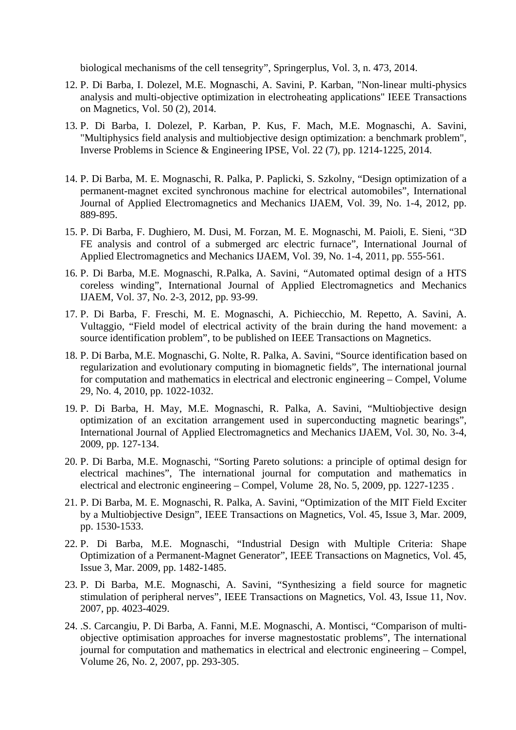biological mechanisms of the cell tensegrity", Springerplus, Vol. 3, n. 473, 2014.

- 12. P. Di Barba, I. Dolezel, M.E. Mognaschi, A. Savini, P. Karban, "Non-linear multi-physics analysis and multi-objective optimization in electroheating applications" IEEE Transactions on Magnetics, Vol. 50 (2), 2014.
- 13. P. Di Barba, I. Dolezel, P. Karban, P. Kus, F. Mach, M.E. Mognaschi, A. Savini, "Multiphysics field analysis and multiobjective design optimization: a benchmark problem", Inverse Problems in Science & Engineering IPSE, Vol. 22 (7), pp. 1214-1225, 2014.
- 14. P. Di Barba, M. E. Mognaschi, R. Palka, P. Paplicki, S. Szkolny, "Design optimization of a permanent-magnet excited synchronous machine for electrical automobiles", International Journal of Applied Electromagnetics and Mechanics IJAEM, Vol. 39, No. 1-4, 2012, pp. 889-895.
- 15. P. Di Barba, F. Dughiero, M. Dusi, M. Forzan, M. E. Mognaschi, M. Paioli, E. Sieni, "3D FE analysis and control of a submerged arc electric furnace", International Journal of Applied Electromagnetics and Mechanics IJAEM, Vol. 39, No. 1-4, 2011, pp. 555-561.
- 16. P. Di Barba, M.E. Mognaschi, R.Palka, A. Savini, "Automated optimal design of a HTS coreless winding", International Journal of Applied Electromagnetics and Mechanics IJAEM, Vol. 37, No. 2-3, 2012, pp. 93-99.
- 17. P. Di Barba, F. Freschi, M. E. Mognaschi, A. Pichiecchio, M. Repetto, A. Savini, A. Vultaggio, "Field model of electrical activity of the brain during the hand movement: a source identification problem", to be published on IEEE Transactions on Magnetics.
- 18. P. Di Barba, M.E. Mognaschi, G. Nolte, R. Palka, A. Savini, "Source identification based on regularization and evolutionary computing in biomagnetic fields", The international journal for computation and mathematics in electrical and electronic engineering – Compel, Volume 29, No. 4, 2010, pp. 1022-1032.
- 19. P. Di Barba, H. May, M.E. Mognaschi, R. Palka, A. Savini, "Multiobjective design optimization of an excitation arrangement used in superconducting magnetic bearings", International Journal of Applied Electromagnetics and Mechanics IJAEM, Vol. 30, No. 3-4, 2009, pp. 127-134.
- 20. P. Di Barba, M.E. Mognaschi, "Sorting Pareto solutions: a principle of optimal design for electrical machines", The international journal for computation and mathematics in electrical and electronic engineering – Compel, Volume 28, No. 5, 2009, pp. 1227-1235 .
- 21. P. Di Barba, M. E. Mognaschi, R. Palka, A. Savini, "Optimization of the MIT Field Exciter by a Multiobjective Design", IEEE Transactions on Magnetics, Vol. 45, Issue 3, Mar. 2009, pp. 1530-1533.
- 22. P. Di Barba, M.E. Mognaschi, "Industrial Design with Multiple Criteria: Shape Optimization of a Permanent-Magnet Generator", IEEE Transactions on Magnetics, Vol. 45, Issue 3, Mar. 2009, pp. 1482-1485.
- 23. P. Di Barba, M.E. Mognaschi, A. Savini, "Synthesizing a field source for magnetic stimulation of peripheral nerves", IEEE Transactions on Magnetics, Vol. 43, Issue 11, Nov. 2007, pp. 4023-4029.
- 24. .S. Carcangiu, P. Di Barba, A. Fanni, M.E. Mognaschi, A. Montisci, "Comparison of multiobjective optimisation approaches for inverse magnestostatic problems", The international journal for computation and mathematics in electrical and electronic engineering – Compel, Volume 26, No. 2, 2007, pp. 293-305.